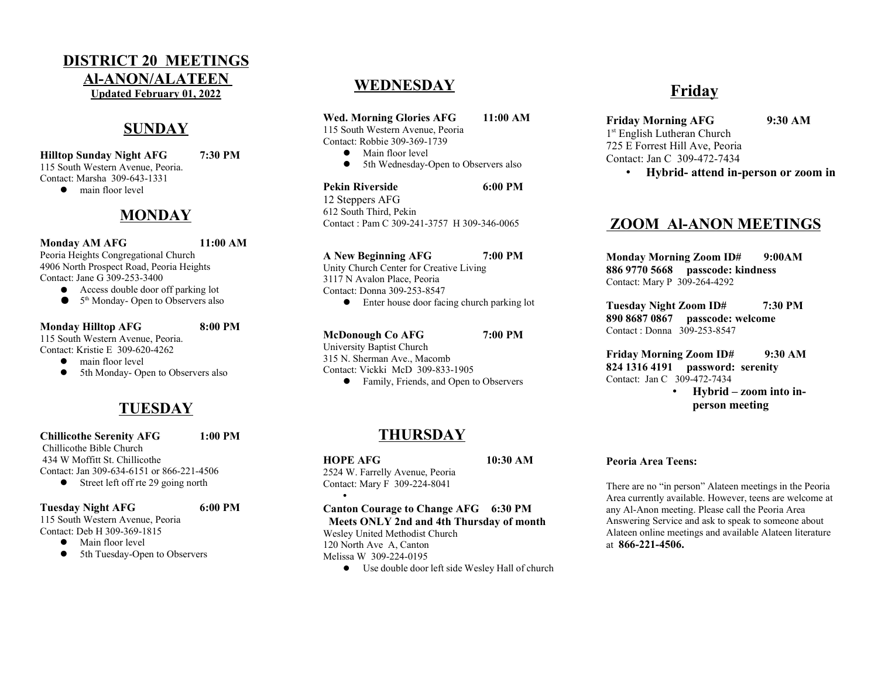#### DISTRICT 20 MEETINGS Al-ANON/ALATEEN Updated February 01, 2022

## **SUNDAY**

Hilltop Sunday Night AFG 7:30 PM 115 South Western Avenue, Peoria. Contact: Marsha 309-643-1331

• main floor level

## **MONDAY**

Monday AM AFG 11:00 AM Peoria Heights Congregational Church 4906 North Prospect Road, Peoria Heights

Contact: Jane G 309-253-3400

● Access double door off parking lot

● 5<sup>th</sup> Monday- Open to Observers also

#### Monday Hilltop AFG 8:00 PM 115 South Western Avenue, Peoria. Contact: Kristie E 309-620-4262

 $\bullet$  main floor level

• 5th Monday- Open to Observers also

# **TUESDAY**

Chillicothe Serenity AFG 1:00 PM Chillicothe Bible Church 434 W Moffitt St. Chillicothe Contact: Jan 309-634-6151 or 866-221-4506

• Street left off rte 29 going north

#### Tuesday Night AFG 6:00 PM

115 South Western Avenue, Peoria Contact: Deb H 309-369-1815

- $\bullet$  Main floor level
- 5th Tuesday-Open to Observers

## **WEDNESDAY**

Wed. Morning Glories AFG 11:00 AM

115 South Western Avenue, Peoria

Contact: Robbie 309-369-1739

 $\bullet$  Main floor level

• 5th Wednesday-Open to Observers also

Pekin Riverside 6:00 PM 12 Steppers AFG 612 South Third, Pekin Contact : Pam C 309-241-3757 H 309-346-0065

A New Beginning AFG 7:00 PM

Unity Church Center for Creative Living 3117 N Avalon Place, Peoria Contact: Donna 309-253-8547

Enter house door facing church parking lot

McDonough Co AFG 7:00 PM University Baptist Church 315 N. Sherman Ave., Macomb Contact: Vickki McD 309-833-1905

Family, Friends, and Open to Observers

## **THURSDAY**

HOPE AFG 10:30 AM

•

2524 W. Farrelly Avenue, Peoria Contact: Mary F 309-224-8041

Canton Courage to Change AFG 6:30 PM Meets ONLY 2nd and 4th Thursday of month Wesley United Methodist Church 120 North Ave A, Canton

Melissa W 309-224-0195

Use double door left side Wesley Hall of church

## Friday

- Friday Morning AFG 9:30 AM 1 st English Lutheran Church 725 E Forrest Hill Ave, Peoria Contact: Jan C 309-472-7434
	- Hybrid- attend in-person or zoom in

### ZOOM Al-ANON MEETINGS

Monday Morning Zoom ID# 9:00AM 886 9770 5668 passcode: kindness Contact: Mary P 309-264-4292

Tuesday Night Zoom ID# 7:30 PM 890 8687 0867 passcode: welcome Contact : Donna 309-253-8547

Friday Morning Zoom ID# 9:30 AM 824 1316 4191 password: serenity Contact: Jan C 309-472-7434

• Hybrid – zoom into inperson meeting

#### Peoria Area Teens:

There are no "in person" Alateen meetings in the Peoria Area currently available. However, teens are welcome at any Al-Anon meeting. Please call the Peoria Area Answering Service and ask to speak to someone about Alateen online meetings and available Alateen literature at 866-221-4506.